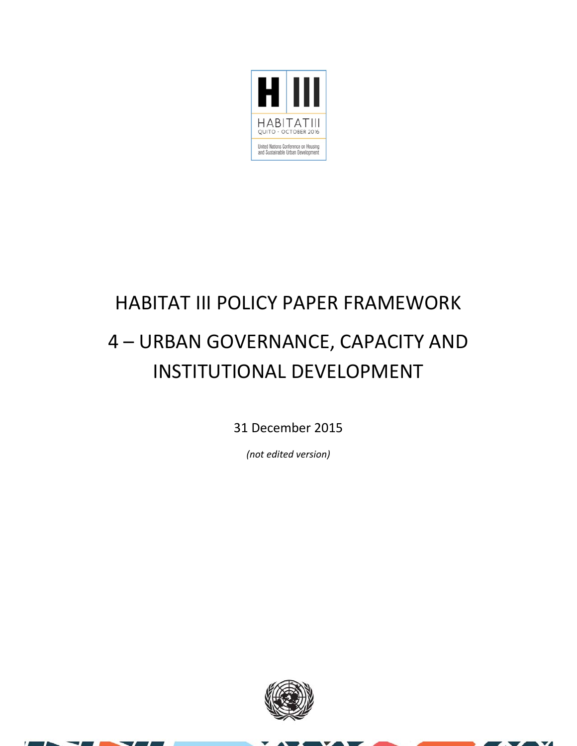

### HABITAT III POLICY PAPER FRAMEWORK 4 – URBAN GOVERNANCE, CAPACITY AND INSTITUTIONAL DEVELOPMENT

31 December 2015

*(not edited version)*



 $\overline{\mathbf{v}}$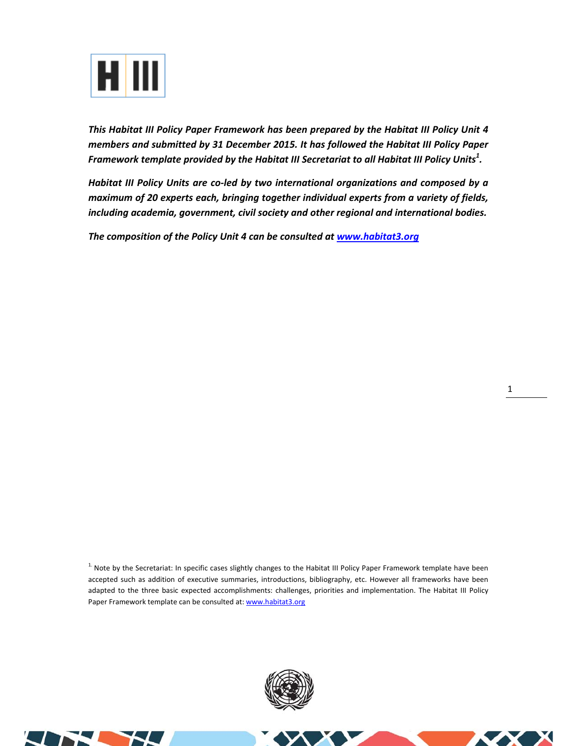

*This Habitat III Policy Paper Framework has been prepared by the Habitat III Policy Unit 4 members and submitted by 31 December 2015. It has followed the Habitat III Policy Paper Framework template provided by the Habitat III Secretariat to all Habitat III Policy Units<sup>1</sup> .* 

*Habitat III Policy Units are co‐led by two international organizations and composed by a maximum of 20 experts each, bringing together individual experts from a variety of fields, including academia, government, civil society and other regional and international bodies.* 

*The composition of the Policy Unit 4 can be consulted at www.habitat3.org* 

<sup>1.</sup> Note by the Secretariat: In specific cases slightly changes to the Habitat III Policy Paper Framework template have been accepted such as addition of executive summaries, introductions, bibliography, etc. However all frameworks have been adapted to the three basic expected accomplishments: challenges, priorities and implementation. The Habitat III Policy Paper Framework template can be consulted at: www.habitat3.org



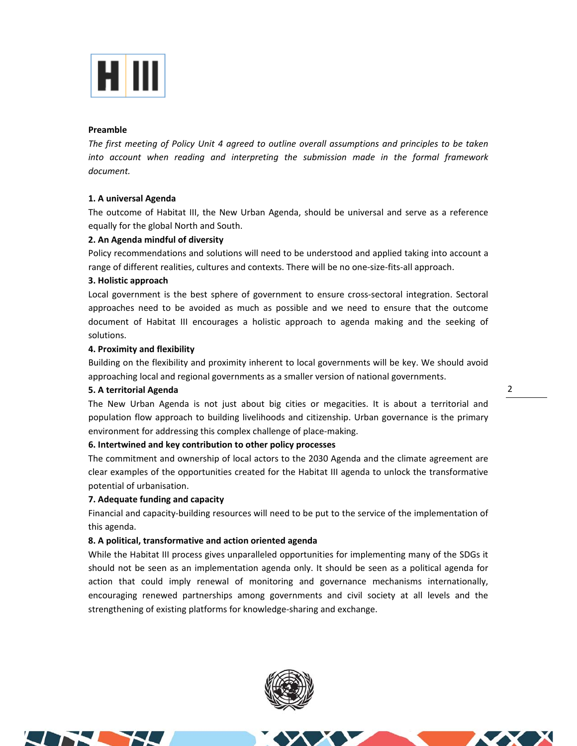

### **Preamble**

*The first meeting of Policy Unit 4 agreed to outline overall assumptions and principles to be taken into account when reading and interpreting the submission made in the formal framework document.* 

### **1. A universal Agenda**

The outcome of Habitat III, the New Urban Agenda, should be universal and serve as a reference equally for the global North and South.

### **2. An Agenda mindful of diversity**

Policy recommendations and solutions will need to be understood and applied taking into account a range of different realities, cultures and contexts. There will be no one-size-fits-all approach.

### **3. Holistic approach**

Local government is the best sphere of government to ensure cross-sectoral integration. Sectoral approaches need to be avoided as much as possible and we need to ensure that the outcome document of Habitat III encourages a holistic approach to agenda making and the seeking of solutions.

### **4. Proximity and flexibility**

Building on the flexibility and proximity inherent to local governments will be key. We should avoid approaching local and regional governments as a smaller version of national governments.

### **5. A territorial Agenda**

The New Urban Agenda is not just about big cities or megacities. It is about a territorial and population flow approach to building livelihoods and citizenship. Urban governance is the primary environment for addressing this complex challenge of place-making.

### **6. Intertwined and key contribution to other policy processes**

The commitment and ownership of local actors to the 2030 Agenda and the climate agreement are clear examples of the opportunities created for the Habitat III agenda to unlock the transformative potential of urbanisation.

### **7. Adequate funding and capacity**

Financial and capacity-building resources will need to be put to the service of the implementation of this agenda.

### **8. A political, transformative and action oriented agenda**

While the Habitat III process gives unparalleled opportunities for implementing many of the SDGs it should not be seen as an implementation agenda only. It should be seen as a political agenda for action that could imply renewal of monitoring and governance mechanisms internationally, encouraging renewed partnerships among governments and civil society at all levels and the strengthening of existing platforms for knowledge‐sharing and exchange.





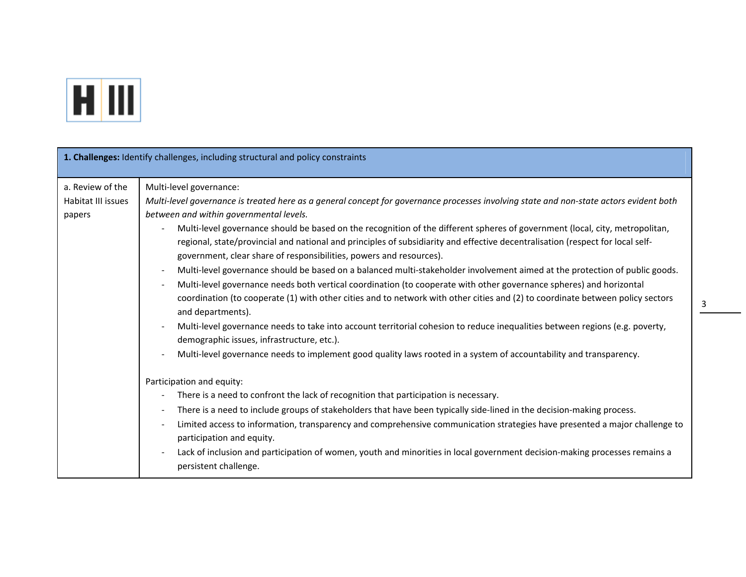

| 1. Challenges: Identify challenges, including structural and policy constraints |                                                                                                                                                                                                                                                                                                                                                                                                                                                                                                                                                                                                                                                                                                                                                                                                                                                                                                                                                                                                                                                                                                                                                                                                                                                                                                                                                                                                                                                                                                                                                                                                                                                                                                                                                                                                                                                                                                                                                 |  |  |
|---------------------------------------------------------------------------------|-------------------------------------------------------------------------------------------------------------------------------------------------------------------------------------------------------------------------------------------------------------------------------------------------------------------------------------------------------------------------------------------------------------------------------------------------------------------------------------------------------------------------------------------------------------------------------------------------------------------------------------------------------------------------------------------------------------------------------------------------------------------------------------------------------------------------------------------------------------------------------------------------------------------------------------------------------------------------------------------------------------------------------------------------------------------------------------------------------------------------------------------------------------------------------------------------------------------------------------------------------------------------------------------------------------------------------------------------------------------------------------------------------------------------------------------------------------------------------------------------------------------------------------------------------------------------------------------------------------------------------------------------------------------------------------------------------------------------------------------------------------------------------------------------------------------------------------------------------------------------------------------------------------------------------------------------|--|--|
| a. Review of the<br>Habitat III issues<br>papers                                | Multi-level governance:<br>Multi-level governance is treated here as a general concept for governance processes involving state and non-state actors evident both<br>between and within governmental levels.<br>Multi-level governance should be based on the recognition of the different spheres of government (local, city, metropolitan,<br>regional, state/provincial and national and principles of subsidiarity and effective decentralisation (respect for local self-<br>government, clear share of responsibilities, powers and resources).<br>Multi-level governance should be based on a balanced multi-stakeholder involvement aimed at the protection of public goods.<br>$\overline{\phantom{a}}$<br>Multi-level governance needs both vertical coordination (to cooperate with other governance spheres) and horizontal<br>$\overline{\phantom{a}}$<br>coordination (to cooperate (1) with other cities and to network with other cities and (2) to coordinate between policy sectors<br>and departments).<br>Multi-level governance needs to take into account territorial cohesion to reduce inequalities between regions (e.g. poverty,<br>$\overline{\phantom{a}}$<br>demographic issues, infrastructure, etc.).<br>Multi-level governance needs to implement good quality laws rooted in a system of accountability and transparency.<br>$\overline{a}$<br>Participation and equity:<br>There is a need to confront the lack of recognition that participation is necessary.<br>There is a need to include groups of stakeholders that have been typically side-lined in the decision-making process.<br>Limited access to information, transparency and comprehensive communication strategies have presented a major challenge to<br>participation and equity.<br>Lack of inclusion and participation of women, youth and minorities in local government decision-making processes remains a<br>$\overline{\phantom{a}}$ |  |  |
|                                                                                 | persistent challenge.                                                                                                                                                                                                                                                                                                                                                                                                                                                                                                                                                                                                                                                                                                                                                                                                                                                                                                                                                                                                                                                                                                                                                                                                                                                                                                                                                                                                                                                                                                                                                                                                                                                                                                                                                                                                                                                                                                                           |  |  |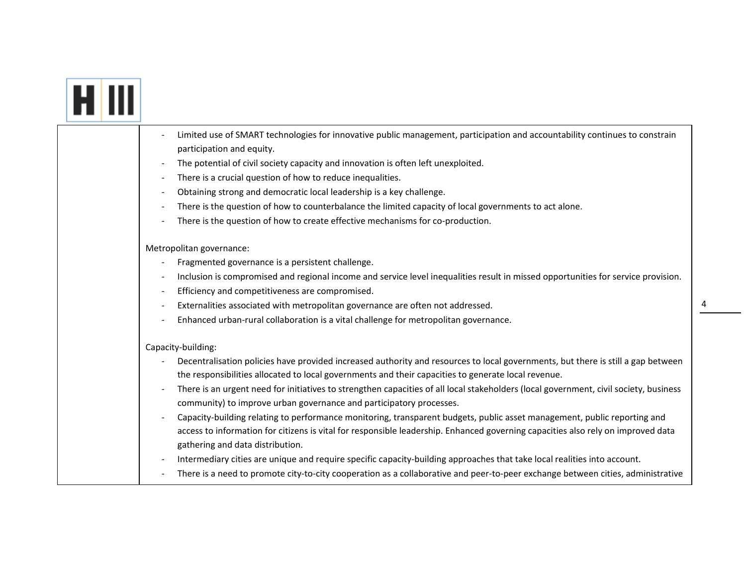# **FIII**

| Limited use of SMART technologies for innovative public management, participation and accountability continues to constrain                                          |
|----------------------------------------------------------------------------------------------------------------------------------------------------------------------|
| participation and equity.                                                                                                                                            |
| The potential of civil society capacity and innovation is often left unexploited.                                                                                    |
| There is a crucial question of how to reduce inequalities.                                                                                                           |
| Obtaining strong and democratic local leadership is a key challenge.                                                                                                 |
| There is the question of how to counterbalance the limited capacity of local governments to act alone.                                                               |
| There is the question of how to create effective mechanisms for co-production.                                                                                       |
| Metropolitan governance:                                                                                                                                             |
| Fragmented governance is a persistent challenge.                                                                                                                     |
| Inclusion is compromised and regional income and service level inequalities result in missed opportunities for service provision.                                    |
| Efficiency and competitiveness are compromised.                                                                                                                      |
| Externalities associated with metropolitan governance are often not addressed.                                                                                       |
| Enhanced urban-rural collaboration is a vital challenge for metropolitan governance.                                                                                 |
| Capacity-building:                                                                                                                                                   |
| Decentralisation policies have provided increased authority and resources to local governments, but there is still a gap between                                     |
| the responsibilities allocated to local governments and their capacities to generate local revenue.                                                                  |
| There is an urgent need for initiatives to strengthen capacities of all local stakeholders (local government, civil society, business                                |
| community) to improve urban governance and participatory processes.                                                                                                  |
| Capacity-building relating to performance monitoring, transparent budgets, public asset management, public reporting and                                             |
| access to information for citizens is vital for responsible leadership. Enhanced governing capacities also rely on improved data<br>gathering and data distribution. |
| Intermediary cities are unique and require specific capacity-building approaches that take local realities into account.                                             |
| There is a need to promote city-to-city cooperation as a collaborative and peer-to-peer exchange between cities, administrative                                      |
|                                                                                                                                                                      |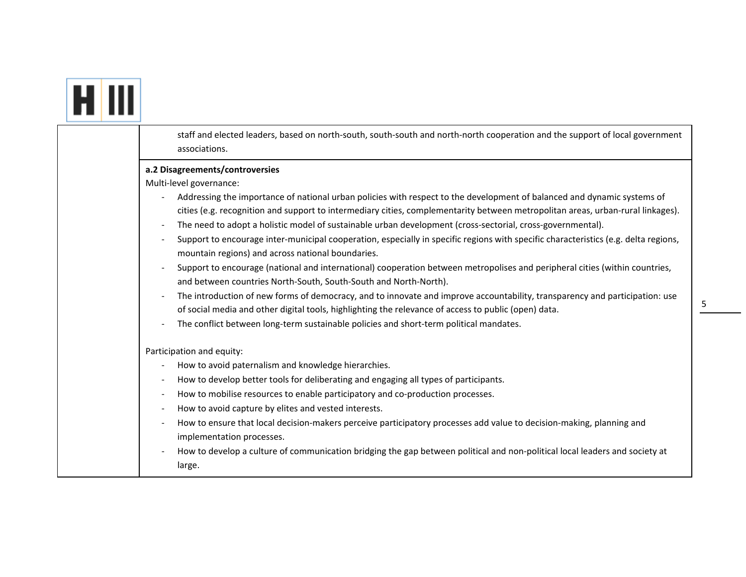|  | staff and elected leaders, based on north-south, south-south and north-north cooperation and the support of local government<br>associations.                                                                                                                                                                                                                                                                                                                                                                                                                                                                                                                                                                                                                                                                                                                                                                                                                                                                                                                                                                                                                                                      |
|--|----------------------------------------------------------------------------------------------------------------------------------------------------------------------------------------------------------------------------------------------------------------------------------------------------------------------------------------------------------------------------------------------------------------------------------------------------------------------------------------------------------------------------------------------------------------------------------------------------------------------------------------------------------------------------------------------------------------------------------------------------------------------------------------------------------------------------------------------------------------------------------------------------------------------------------------------------------------------------------------------------------------------------------------------------------------------------------------------------------------------------------------------------------------------------------------------------|
|  | a.2 Disagreements/controversies<br>Multi-level governance:<br>Addressing the importance of national urban policies with respect to the development of balanced and dynamic systems of<br>cities (e.g. recognition and support to intermediary cities, complementarity between metropolitan areas, urban-rural linkages).<br>The need to adopt a holistic model of sustainable urban development (cross-sectorial, cross-governmental).<br>Support to encourage inter-municipal cooperation, especially in specific regions with specific characteristics (e.g. delta regions,<br>mountain regions) and across national boundaries.<br>Support to encourage (national and international) cooperation between metropolises and peripheral cities (within countries,<br>and between countries North-South, South-South and North-North).<br>The introduction of new forms of democracy, and to innovate and improve accountability, transparency and participation: use<br>$\overline{\phantom{a}}$<br>of social media and other digital tools, highlighting the relevance of access to public (open) data.<br>The conflict between long-term sustainable policies and short-term political mandates. |
|  | Participation and equity:<br>How to avoid paternalism and knowledge hierarchies.<br>How to develop better tools for deliberating and engaging all types of participants.<br>How to mobilise resources to enable participatory and co-production processes.<br>How to avoid capture by elites and vested interests.<br>How to ensure that local decision-makers perceive participatory processes add value to decision-making, planning and<br>implementation processes.<br>How to develop a culture of communication bridging the gap between political and non-political local leaders and society at<br>large.                                                                                                                                                                                                                                                                                                                                                                                                                                                                                                                                                                                   |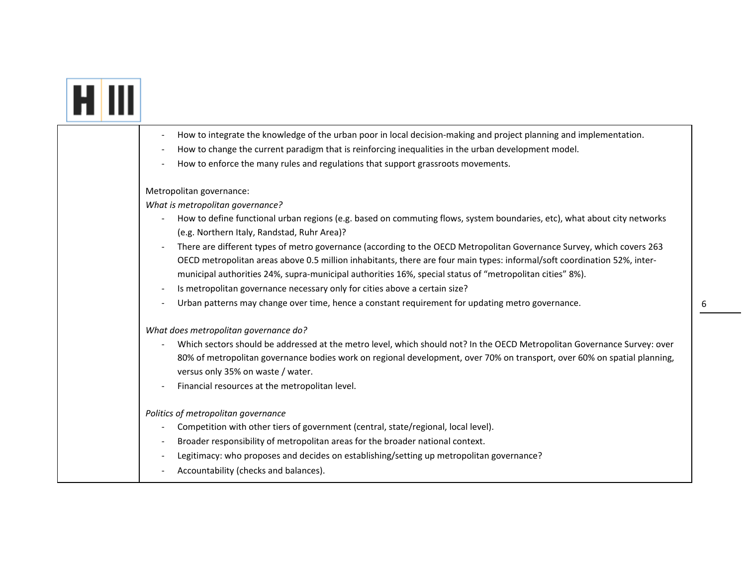| How to integrate the knowledge of the urban poor in local decision-making and project planning and implementation.                                                                                                                                                                                                                                                                                                                                            |
|---------------------------------------------------------------------------------------------------------------------------------------------------------------------------------------------------------------------------------------------------------------------------------------------------------------------------------------------------------------------------------------------------------------------------------------------------------------|
| How to change the current paradigm that is reinforcing inequalities in the urban development model.                                                                                                                                                                                                                                                                                                                                                           |
| How to enforce the many rules and regulations that support grassroots movements.                                                                                                                                                                                                                                                                                                                                                                              |
| Metropolitan governance:                                                                                                                                                                                                                                                                                                                                                                                                                                      |
| What is metropolitan governance?                                                                                                                                                                                                                                                                                                                                                                                                                              |
| How to define functional urban regions (e.g. based on commuting flows, system boundaries, etc), what about city networks<br>(e.g. Northern Italy, Randstad, Ruhr Area)?                                                                                                                                                                                                                                                                                       |
| There are different types of metro governance (according to the OECD Metropolitan Governance Survey, which covers 263<br>$\blacksquare$<br>OECD metropolitan areas above 0.5 million inhabitants, there are four main types: informal/soft coordination 52%, inter-<br>municipal authorities 24%, supra-municipal authorities 16%, special status of "metropolitan cities" 8%).<br>Is metropolitan governance necessary only for cities above a certain size? |
| Urban patterns may change over time, hence a constant requirement for updating metro governance.                                                                                                                                                                                                                                                                                                                                                              |
| What does metropolitan governance do?<br>Which sectors should be addressed at the metro level, which should not? In the OECD Metropolitan Governance Survey: over<br>80% of metropolitan governance bodies work on regional development, over 70% on transport, over 60% on spatial planning,<br>versus only 35% on waste / water.<br>Financial resources at the metropolitan level.                                                                          |
| Politics of metropolitan governance<br>Competition with other tiers of government (central, state/regional, local level).<br>Broader responsibility of metropolitan areas for the broader national context.<br>Legitimacy: who proposes and decides on establishing/setting up metropolitan governance?<br>Accountability (checks and balances).                                                                                                              |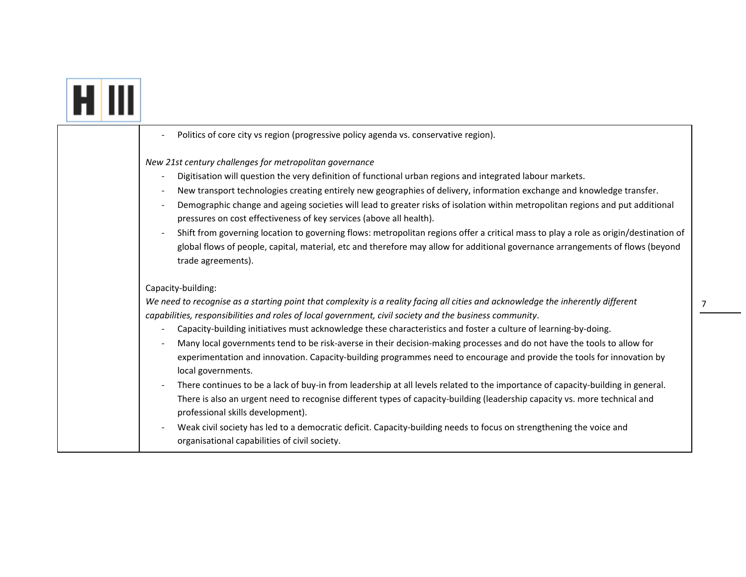|--|

| Politics of core city vs region (progressive policy agenda vs. conservative region).                                                                                                                                                                                                                                                                                                                                                                                                                                                                                                                                                                                                                                                                                                                    |
|---------------------------------------------------------------------------------------------------------------------------------------------------------------------------------------------------------------------------------------------------------------------------------------------------------------------------------------------------------------------------------------------------------------------------------------------------------------------------------------------------------------------------------------------------------------------------------------------------------------------------------------------------------------------------------------------------------------------------------------------------------------------------------------------------------|
| New 21st century challenges for metropolitan governance<br>Digitisation will question the very definition of functional urban regions and integrated labour markets.<br>New transport technologies creating entirely new geographies of delivery, information exchange and knowledge transfer.<br>Demographic change and ageing societies will lead to greater risks of isolation within metropolitan regions and put additional<br>pressures on cost effectiveness of key services (above all health).<br>Shift from governing location to governing flows: metropolitan regions offer a critical mass to play a role as origin/destination of<br>global flows of people, capital, material, etc and therefore may allow for additional governance arrangements of flows (beyond<br>trade agreements). |
| Capacity-building:<br>We need to recognise as a starting point that complexity is a reality facing all cities and acknowledge the inherently different                                                                                                                                                                                                                                                                                                                                                                                                                                                                                                                                                                                                                                                  |
| capabilities, responsibilities and roles of local government, civil society and the business community.<br>Capacity-building initiatives must acknowledge these characteristics and foster a culture of learning-by-doing.<br>Many local governments tend to be risk-averse in their decision-making processes and do not have the tools to allow for<br>experimentation and innovation. Capacity-building programmes need to encourage and provide the tools for innovation by<br>local governments.                                                                                                                                                                                                                                                                                                   |
| There continues to be a lack of buy-in from leadership at all levels related to the importance of capacity-building in general.<br>There is also an urgent need to recognise different types of capacity-building (leadership capacity vs. more technical and<br>professional skills development).                                                                                                                                                                                                                                                                                                                                                                                                                                                                                                      |
| Weak civil society has led to a democratic deficit. Capacity-building needs to focus on strengthening the voice and<br>organisational capabilities of civil society.                                                                                                                                                                                                                                                                                                                                                                                                                                                                                                                                                                                                                                    |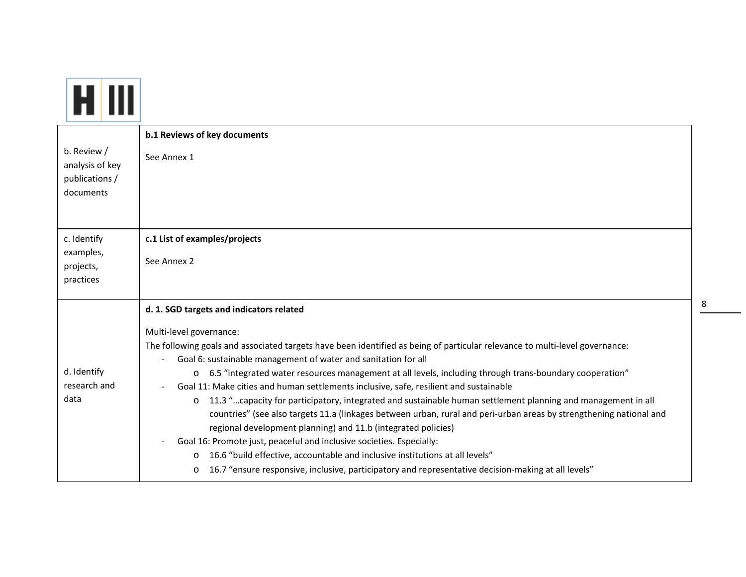| b. Review /<br>analysis of key<br>publications /<br>documents | b.1 Reviews of key documents<br>See Annex 1                                                                                                                                                                                                                                                                                                                                                                                                                                                                                                                                                                                                                                                                                                                                                                                                                                                                                                                                                                                                                                                                    |
|---------------------------------------------------------------|----------------------------------------------------------------------------------------------------------------------------------------------------------------------------------------------------------------------------------------------------------------------------------------------------------------------------------------------------------------------------------------------------------------------------------------------------------------------------------------------------------------------------------------------------------------------------------------------------------------------------------------------------------------------------------------------------------------------------------------------------------------------------------------------------------------------------------------------------------------------------------------------------------------------------------------------------------------------------------------------------------------------------------------------------------------------------------------------------------------|
| c. Identify<br>examples,<br>projects,<br>practices            | c.1 List of examples/projects<br>See Annex 2                                                                                                                                                                                                                                                                                                                                                                                                                                                                                                                                                                                                                                                                                                                                                                                                                                                                                                                                                                                                                                                                   |
| d. Identify<br>research and<br>data                           | d. 1. SGD targets and indicators related<br>Multi-level governance:<br>The following goals and associated targets have been identified as being of particular relevance to multi-level governance:<br>Goal 6: sustainable management of water and sanitation for all<br>o 6.5 "integrated water resources management at all levels, including through trans-boundary cooperation"<br>Goal 11: Make cities and human settlements inclusive, safe, resilient and sustainable<br>$\overline{\phantom{a}}$<br>11.3 "capacity for participatory, integrated and sustainable human settlement planning and management in all<br>$\circ$<br>countries" (see also targets 11.a (linkages between urban, rural and peri-urban areas by strengthening national and<br>regional development planning) and 11.b (integrated policies)<br>Goal 16: Promote just, peaceful and inclusive societies. Especially:<br>16.6 "build effective, accountable and inclusive institutions at all levels"<br>$\circ$<br>16.7 "ensure responsive, inclusive, participatory and representative decision-making at all levels"<br>$\circ$ |

8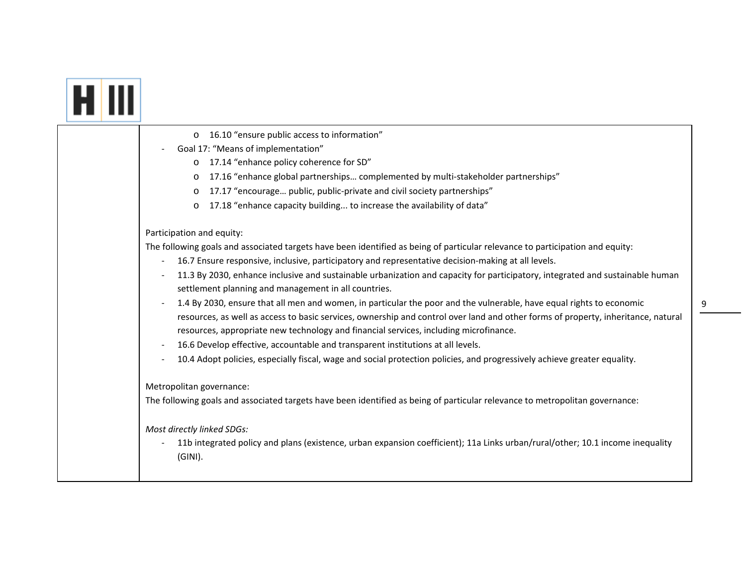|  | 16.10 "ensure public access to information"<br>$\circ$                                                                                                                                                                     |
|--|----------------------------------------------------------------------------------------------------------------------------------------------------------------------------------------------------------------------------|
|  | Goal 17: "Means of implementation"                                                                                                                                                                                         |
|  | 17.14 "enhance policy coherence for SD"<br>$\circ$                                                                                                                                                                         |
|  | 17.16 "enhance global partnerships complemented by multi-stakeholder partnerships"<br>$\circ$                                                                                                                              |
|  | 17.17 "encourage public, public-private and civil society partnerships"<br>$\circ$                                                                                                                                         |
|  | 17.18 "enhance capacity building to increase the availability of data"<br>$\circ$                                                                                                                                          |
|  | Participation and equity:                                                                                                                                                                                                  |
|  | The following goals and associated targets have been identified as being of particular relevance to participation and equity:                                                                                              |
|  | 16.7 Ensure responsive, inclusive, participatory and representative decision-making at all levels.<br>$\overline{\phantom{a}}$                                                                                             |
|  | 11.3 By 2030, enhance inclusive and sustainable urbanization and capacity for participatory, integrated and sustainable human<br>settlement planning and management in all countries.                                      |
|  | 1.4 By 2030, ensure that all men and women, in particular the poor and the vulnerable, have equal rights to economic                                                                                                       |
|  | resources, as well as access to basic services, ownership and control over land and other forms of property, inheritance, natural<br>resources, appropriate new technology and financial services, including microfinance. |
|  | 16.6 Develop effective, accountable and transparent institutions at all levels.                                                                                                                                            |
|  | 10.4 Adopt policies, especially fiscal, wage and social protection policies, and progressively achieve greater equality.                                                                                                   |
|  | Metropolitan governance:                                                                                                                                                                                                   |
|  | The following goals and associated targets have been identified as being of particular relevance to metropolitan governance:                                                                                               |
|  | Most directly linked SDGs:<br>11b integrated policy and plans (existence, urban expansion coefficient); 11a Links urban/rural/other; 10.1 income inequality<br>$(GINI)$ .                                                  |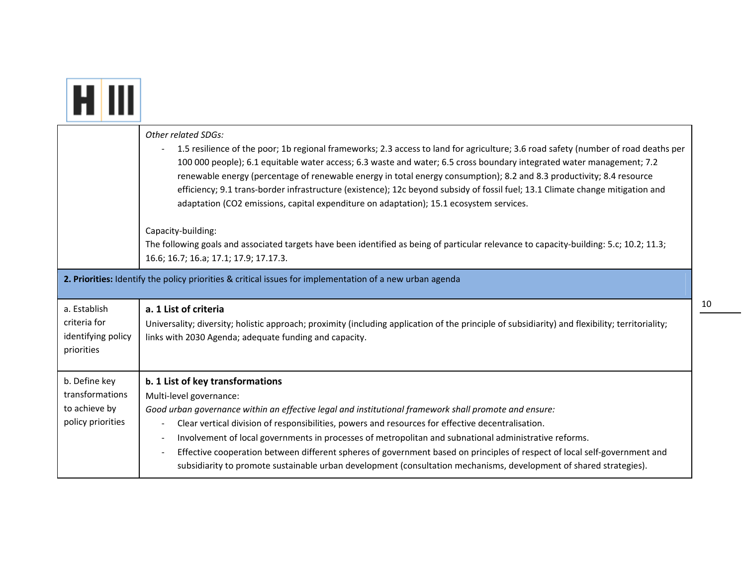|                                                                                                          | Other related SDGs:<br>1.5 resilience of the poor; 1b regional frameworks; 2.3 access to land for agriculture; 3.6 road safety (number of road deaths per<br>100 000 people); 6.1 equitable water access; 6.3 waste and water; 6.5 cross boundary integrated water management; 7.2<br>renewable energy (percentage of renewable energy in total energy consumption); 8.2 and 8.3 productivity; 8.4 resource<br>efficiency; 9.1 trans-border infrastructure (existence); 12c beyond subsidy of fossil fuel; 13.1 Climate change mitigation and<br>adaptation (CO2 emissions, capital expenditure on adaptation); 15.1 ecosystem services.                |  |
|----------------------------------------------------------------------------------------------------------|---------------------------------------------------------------------------------------------------------------------------------------------------------------------------------------------------------------------------------------------------------------------------------------------------------------------------------------------------------------------------------------------------------------------------------------------------------------------------------------------------------------------------------------------------------------------------------------------------------------------------------------------------------|--|
|                                                                                                          | Capacity-building:<br>The following goals and associated targets have been identified as being of particular relevance to capacity-building: 5.c; 10.2; 11.3;<br>16.6; 16.7; 16.a; 17.1; 17.9; 17.17.3.                                                                                                                                                                                                                                                                                                                                                                                                                                                 |  |
| 2. Priorities: Identify the policy priorities & critical issues for implementation of a new urban agenda |                                                                                                                                                                                                                                                                                                                                                                                                                                                                                                                                                                                                                                                         |  |
| a. Establish<br>criteria for<br>identifying policy<br>priorities                                         | a. 1 List of criteria<br>Universality; diversity; holistic approach; proximity (including application of the principle of subsidiarity) and flexibility; territoriality;<br>links with 2030 Agenda; adequate funding and capacity.                                                                                                                                                                                                                                                                                                                                                                                                                      |  |
| b. Define key<br>transformations<br>to achieve by<br>policy priorities                                   | b. 1 List of key transformations<br>Multi-level governance:<br>Good urban governance within an effective legal and institutional framework shall promote and ensure:<br>Clear vertical division of responsibilities, powers and resources for effective decentralisation.<br>Involvement of local governments in processes of metropolitan and subnational administrative reforms.<br>Effective cooperation between different spheres of government based on principles of respect of local self-government and<br>$\blacksquare$<br>subsidiarity to promote sustainable urban development (consultation mechanisms, development of shared strategies). |  |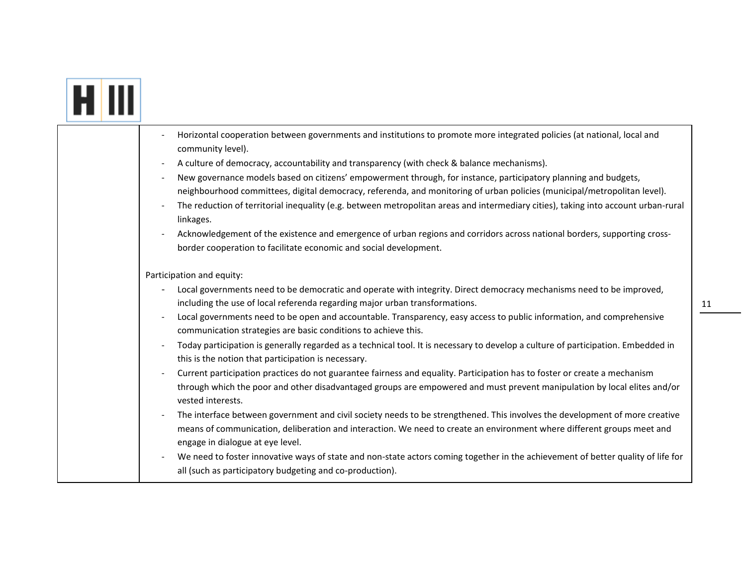# **FIII**

| Horizontal cooperation between governments and institutions to promote more integrated policies (at national, local and<br>community level).                                                                                                                                              |
|-------------------------------------------------------------------------------------------------------------------------------------------------------------------------------------------------------------------------------------------------------------------------------------------|
| A culture of democracy, accountability and transparency (with check & balance mechanisms).                                                                                                                                                                                                |
| New governance models based on citizens' empowerment through, for instance, participatory planning and budgets,<br>neighbourhood committees, digital democracy, referenda, and monitoring of urban policies (municipal/metropolitan level).                                               |
| The reduction of territorial inequality (e.g. between metropolitan areas and intermediary cities), taking into account urban-rural<br>linkages.                                                                                                                                           |
| Acknowledgement of the existence and emergence of urban regions and corridors across national borders, supporting cross-<br>border cooperation to facilitate economic and social development.                                                                                             |
| Participation and equity:                                                                                                                                                                                                                                                                 |
| Local governments need to be democratic and operate with integrity. Direct democracy mechanisms need to be improved,<br>including the use of local referenda regarding major urban transformations.                                                                                       |
| Local governments need to be open and accountable. Transparency, easy access to public information, and comprehensive<br>communication strategies are basic conditions to achieve this.                                                                                                   |
| Today participation is generally regarded as a technical tool. It is necessary to develop a culture of participation. Embedded in<br>this is the notion that participation is necessary.                                                                                                  |
| Current participation practices do not guarantee fairness and equality. Participation has to foster or create a mechanism<br>through which the poor and other disadvantaged groups are empowered and must prevent manipulation by local elites and/or<br>vested interests.                |
| The interface between government and civil society needs to be strengthened. This involves the development of more creative<br>means of communication, deliberation and interaction. We need to create an environment where different groups meet and<br>engage in dialogue at eye level. |
| We need to foster innovative ways of state and non-state actors coming together in the achievement of better quality of life for<br>all (such as participatory budgeting and co-production).                                                                                              |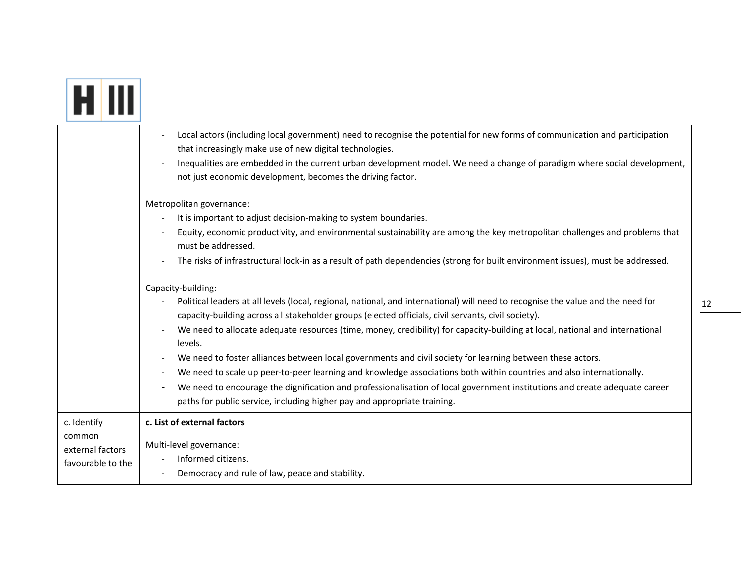|                                                                | Local actors (including local government) need to recognise the potential for new forms of communication and participation<br>that increasingly make use of new digital technologies.<br>Inequalities are embedded in the current urban development model. We need a change of paradigm where social development,<br>not just economic development, becomes the driving factor.                                                                                                                                                                                                                                                                                                                                                                                                                                                                          |
|----------------------------------------------------------------|----------------------------------------------------------------------------------------------------------------------------------------------------------------------------------------------------------------------------------------------------------------------------------------------------------------------------------------------------------------------------------------------------------------------------------------------------------------------------------------------------------------------------------------------------------------------------------------------------------------------------------------------------------------------------------------------------------------------------------------------------------------------------------------------------------------------------------------------------------|
|                                                                | Metropolitan governance:<br>It is important to adjust decision-making to system boundaries.<br>$\overline{a}$<br>Equity, economic productivity, and environmental sustainability are among the key metropolitan challenges and problems that<br>must be addressed.<br>The risks of infrastructural lock-in as a result of path dependencies (strong for built environment issues), must be addressed.                                                                                                                                                                                                                                                                                                                                                                                                                                                    |
|                                                                | Capacity-building:<br>Political leaders at all levels (local, regional, national, and international) will need to recognise the value and the need for<br>capacity-building across all stakeholder groups (elected officials, civil servants, civil society).<br>We need to allocate adequate resources (time, money, credibility) for capacity-building at local, national and international<br>levels.<br>We need to foster alliances between local governments and civil society for learning between these actors.<br>We need to scale up peer-to-peer learning and knowledge associations both within countries and also internationally.<br>We need to encourage the dignification and professionalisation of local government institutions and create adequate career<br>paths for public service, including higher pay and appropriate training. |
| c. Identify<br>common<br>external factors<br>favourable to the | c. List of external factors<br>Multi-level governance:<br>Informed citizens.<br>Democracy and rule of law, peace and stability.                                                                                                                                                                                                                                                                                                                                                                                                                                                                                                                                                                                                                                                                                                                          |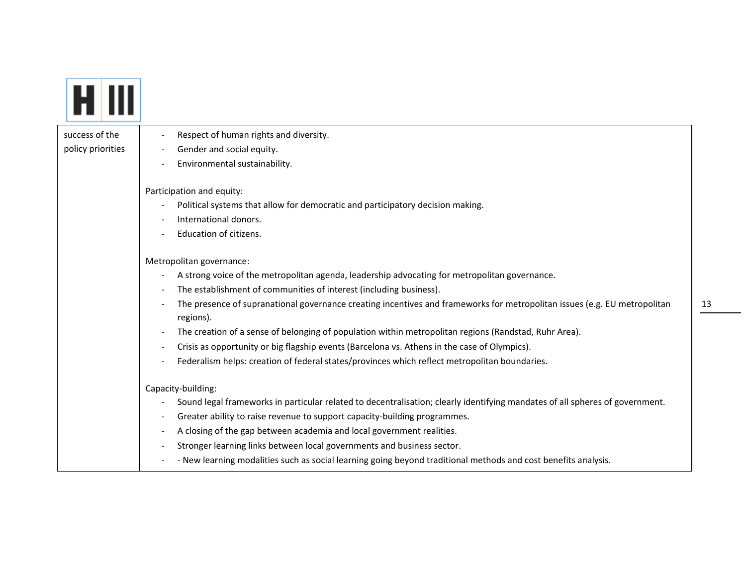| success of the    | Respect of human rights and diversity.                                                                                                 |
|-------------------|----------------------------------------------------------------------------------------------------------------------------------------|
| policy priorities | Gender and social equity.                                                                                                              |
|                   | Environmental sustainability.                                                                                                          |
|                   | Participation and equity:                                                                                                              |
|                   | Political systems that allow for democratic and participatory decision making.                                                         |
|                   | International donors.                                                                                                                  |
|                   | Education of citizens.                                                                                                                 |
|                   | Metropolitan governance:                                                                                                               |
|                   | A strong voice of the metropolitan agenda, leadership advocating for metropolitan governance.                                          |
|                   | The establishment of communities of interest (including business).                                                                     |
|                   | The presence of supranational governance creating incentives and frameworks for metropolitan issues (e.g. EU metropolitan<br>regions). |
|                   | The creation of a sense of belonging of population within metropolitan regions (Randstad, Ruhr Area).                                  |
|                   | Crisis as opportunity or big flagship events (Barcelona vs. Athens in the case of Olympics).                                           |
|                   | Federalism helps: creation of federal states/provinces which reflect metropolitan boundaries.                                          |
|                   | Capacity-building:                                                                                                                     |
|                   | Sound legal frameworks in particular related to decentralisation; clearly identifying mandates of all spheres of government.           |
|                   | Greater ability to raise revenue to support capacity-building programmes.                                                              |
|                   | A closing of the gap between academia and local government realities.                                                                  |
|                   | Stronger learning links between local governments and business sector.                                                                 |
|                   | - New learning modalities such as social learning going beyond traditional methods and cost benefits analysis.                         |

13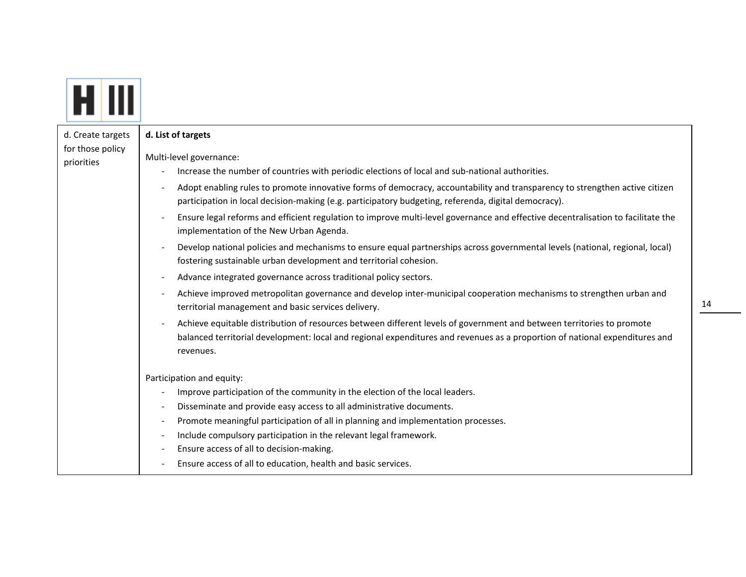|  | d. Create targets<br>for those policy | d. List of targets                                                                                                                                                                                                                                                |
|--|---------------------------------------|-------------------------------------------------------------------------------------------------------------------------------------------------------------------------------------------------------------------------------------------------------------------|
|  | priorities                            | Multi-level governance:<br>Increase the number of countries with periodic elections of local and sub-national authorities.                                                                                                                                        |
|  |                                       | Adopt enabling rules to promote innovative forms of democracy, accountability and transparency to strengthen active citizen<br>participation in local decision-making (e.g. participatory budgeting, referenda, digital democracy).                               |
|  |                                       | Ensure legal reforms and efficient regulation to improve multi-level governance and effective decentralisation to facilitate the<br>$\overline{a}$<br>implementation of the New Urban Agenda.                                                                     |
|  |                                       | Develop national policies and mechanisms to ensure equal partnerships across governmental levels (national, regional, local)<br>$\overline{\phantom{a}}$<br>fostering sustainable urban development and territorial cohesion.                                     |
|  |                                       | Advance integrated governance across traditional policy sectors.                                                                                                                                                                                                  |
|  |                                       | Achieve improved metropolitan governance and develop inter-municipal cooperation mechanisms to strengthen urban and<br>territorial management and basic services delivery.                                                                                        |
|  |                                       | Achieve equitable distribution of resources between different levels of government and between territories to promote<br>balanced territorial development: local and regional expenditures and revenues as a proportion of national expenditures and<br>revenues. |
|  |                                       | Participation and equity:                                                                                                                                                                                                                                         |
|  |                                       | Improve participation of the community in the election of the local leaders.                                                                                                                                                                                      |
|  |                                       | Disseminate and provide easy access to all administrative documents.                                                                                                                                                                                              |
|  |                                       | Promote meaningful participation of all in planning and implementation processes.<br>$\overline{\phantom{a}}$                                                                                                                                                     |
|  |                                       | Include compulsory participation in the relevant legal framework.<br>$\overline{\phantom{a}}$<br>Ensure access of all to decision-making.                                                                                                                         |
|  |                                       | Ensure access of all to education, health and basic services.                                                                                                                                                                                                     |
|  |                                       |                                                                                                                                                                                                                                                                   |

 $\Box$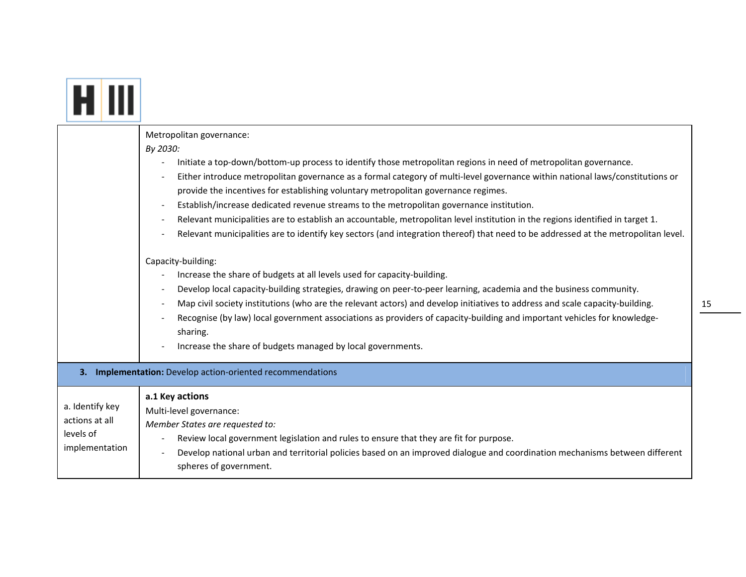|                                                                  | Metropolitan governance:<br>By 2030:<br>Initiate a top-down/bottom-up process to identify those metropolitan regions in need of metropolitan governance.<br>Either introduce metropolitan governance as a formal category of multi-level governance within national laws/constitutions or<br>provide the incentives for establishing voluntary metropolitan governance regimes.<br>Establish/increase dedicated revenue streams to the metropolitan governance institution.<br>Relevant municipalities are to establish an accountable, metropolitan level institution in the regions identified in target 1.<br>Relevant municipalities are to identify key sectors (and integration thereof) that need to be addressed at the metropolitan level.<br>Capacity-building:<br>Increase the share of budgets at all levels used for capacity-building.<br>Develop local capacity-building strategies, drawing on peer-to-peer learning, academia and the business community.<br>Map civil society institutions (who are the relevant actors) and develop initiatives to address and scale capacity-building.<br>Recognise (by law) local government associations as providers of capacity-building and important vehicles for knowledge-<br>sharing.<br>Increase the share of budgets managed by local governments. |  |
|------------------------------------------------------------------|-------------------------------------------------------------------------------------------------------------------------------------------------------------------------------------------------------------------------------------------------------------------------------------------------------------------------------------------------------------------------------------------------------------------------------------------------------------------------------------------------------------------------------------------------------------------------------------------------------------------------------------------------------------------------------------------------------------------------------------------------------------------------------------------------------------------------------------------------------------------------------------------------------------------------------------------------------------------------------------------------------------------------------------------------------------------------------------------------------------------------------------------------------------------------------------------------------------------------------------------------------------------------------------------------------------------|--|
| 3. Implementation: Develop action-oriented recommendations       |                                                                                                                                                                                                                                                                                                                                                                                                                                                                                                                                                                                                                                                                                                                                                                                                                                                                                                                                                                                                                                                                                                                                                                                                                                                                                                                   |  |
| a. Identify key<br>actions at all<br>levels of<br>implementation | a.1 Key actions<br>Multi-level governance:<br>Member States are requested to:<br>Review local government legislation and rules to ensure that they are fit for purpose.<br>Develop national urban and territorial policies based on an improved dialogue and coordination mechanisms between different<br>spheres of government.                                                                                                                                                                                                                                                                                                                                                                                                                                                                                                                                                                                                                                                                                                                                                                                                                                                                                                                                                                                  |  |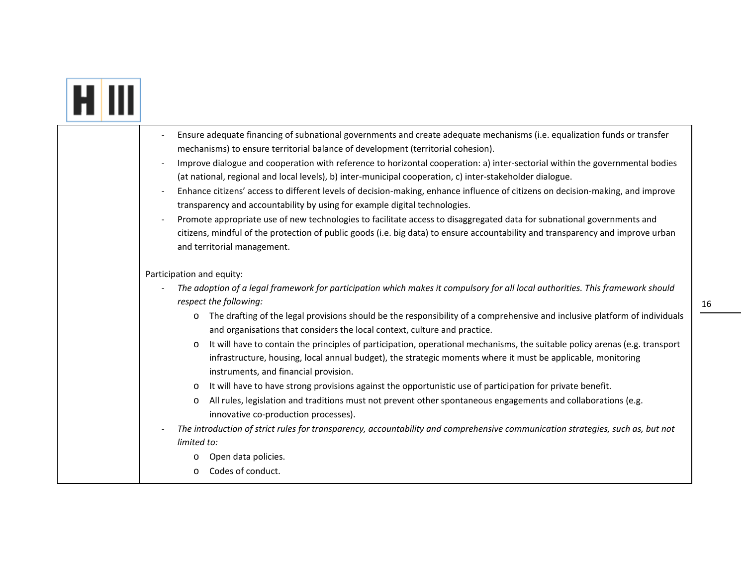# **FIII**

| Ensure adequate financing of subnational governments and create adequate mechanisms (i.e. equalization funds or transfer<br>mechanisms) to ensure territorial balance of development (territorial cohesion).                                                                                    |
|-------------------------------------------------------------------------------------------------------------------------------------------------------------------------------------------------------------------------------------------------------------------------------------------------|
| Improve dialogue and cooperation with reference to horizontal cooperation: a) inter-sectorial within the governmental bodies<br>(at national, regional and local levels), b) inter-municipal cooperation, c) inter-stakeholder dialogue.                                                        |
| Enhance citizens' access to different levels of decision-making, enhance influence of citizens on decision-making, and improve<br>transparency and accountability by using for example digital technologies.                                                                                    |
| Promote appropriate use of new technologies to facilitate access to disaggregated data for subnational governments and                                                                                                                                                                          |
| citizens, mindful of the protection of public goods (i.e. big data) to ensure accountability and transparency and improve urban<br>and territorial management.                                                                                                                                  |
| Participation and equity:                                                                                                                                                                                                                                                                       |
| The adoption of a legal framework for participation which makes it compulsory for all local authorities. This framework should<br>respect the following:                                                                                                                                        |
| The drafting of the legal provisions should be the responsibility of a comprehensive and inclusive platform of individuals<br>$\circ$<br>and organisations that considers the local context, culture and practice.                                                                              |
| It will have to contain the principles of participation, operational mechanisms, the suitable policy arenas (e.g. transport<br>$\circ$<br>infrastructure, housing, local annual budget), the strategic moments where it must be applicable, monitoring<br>instruments, and financial provision. |
| It will have to have strong provisions against the opportunistic use of participation for private benefit.<br>$\circ$                                                                                                                                                                           |
| All rules, legislation and traditions must not prevent other spontaneous engagements and collaborations (e.g.<br>$\circ$<br>innovative co-production processes).                                                                                                                                |
| The introduction of strict rules for transparency, accountability and comprehensive communication strategies, such as, but not                                                                                                                                                                  |
| limited to:                                                                                                                                                                                                                                                                                     |
| Open data policies.<br>$\circ$                                                                                                                                                                                                                                                                  |
| Codes of conduct.<br>$\circ$                                                                                                                                                                                                                                                                    |
|                                                                                                                                                                                                                                                                                                 |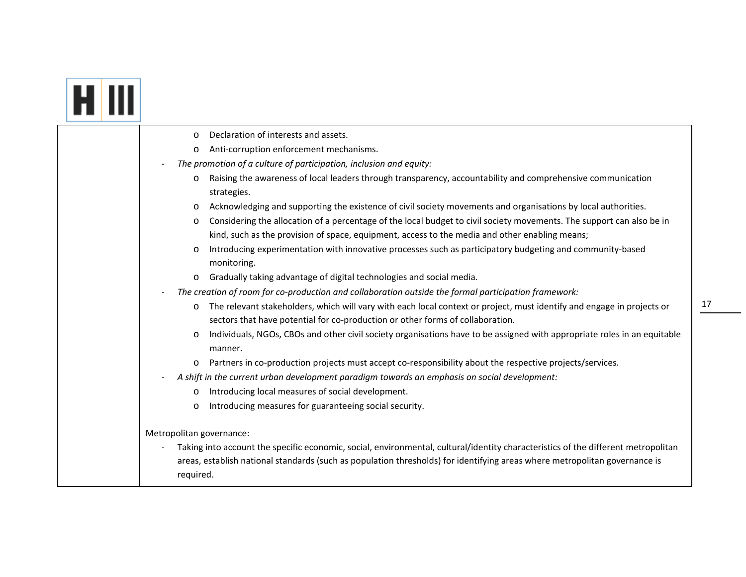### **FI** III

| Declaration of interests and assets.<br>$\circ$                                                                                                                                                                              |
|------------------------------------------------------------------------------------------------------------------------------------------------------------------------------------------------------------------------------|
| Anti-corruption enforcement mechanisms.<br>$\circ$                                                                                                                                                                           |
| The promotion of a culture of participation, inclusion and equity:                                                                                                                                                           |
| Raising the awareness of local leaders through transparency, accountability and comprehensive communication<br>$\circ$<br>strategies.                                                                                        |
| Acknowledging and supporting the existence of civil society movements and organisations by local authorities.<br>$\circ$                                                                                                     |
| Considering the allocation of a percentage of the local budget to civil society movements. The support can also be in<br>O<br>kind, such as the provision of space, equipment, access to the media and other enabling means; |
| Introducing experimentation with innovative processes such as participatory budgeting and community-based<br>O<br>monitoring.                                                                                                |
| Gradually taking advantage of digital technologies and social media.<br>$\circ$                                                                                                                                              |
| The creation of room for co-production and collaboration outside the formal participation framework:                                                                                                                         |
| The relevant stakeholders, which will vary with each local context or project, must identify and engage in projects or<br>$\circ$<br>sectors that have potential for co-production or other forms of collaboration.          |
| Individuals, NGOs, CBOs and other civil society organisations have to be assigned with appropriate roles in an equitable<br>O<br>manner.                                                                                     |
| Partners in co-production projects must accept co-responsibility about the respective projects/services.<br>$\circ$                                                                                                          |
| A shift in the current urban development paradigm towards an emphasis on social development:                                                                                                                                 |
| Introducing local measures of social development.<br>$\circ$                                                                                                                                                                 |
| Introducing measures for guaranteeing social security.<br>$\circ$                                                                                                                                                            |
| Metropolitan governance:                                                                                                                                                                                                     |
| Taking into account the specific economic, social, environmental, cultural/identity characteristics of the different metropolitan                                                                                            |
| areas, establish national standards (such as population thresholds) for identifying areas where metropolitan governance is                                                                                                   |
| required.                                                                                                                                                                                                                    |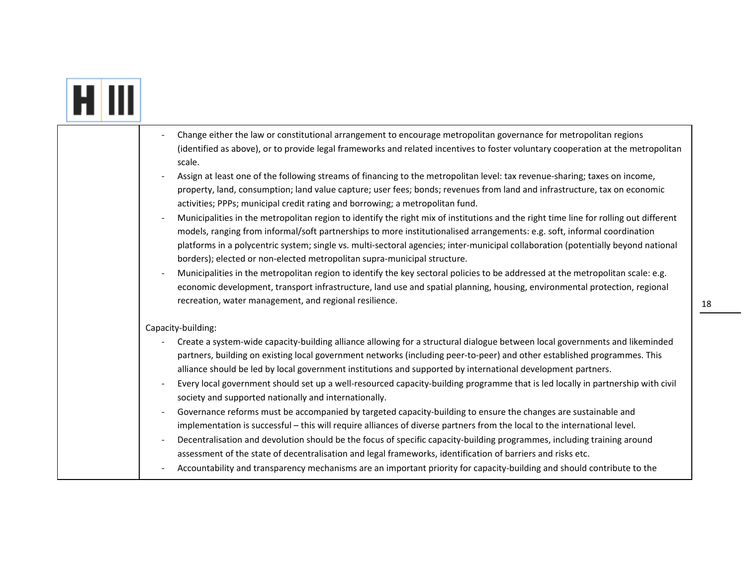|  | Change either the law or constitutional arrangement to encourage metropolitan governance for metropolitan regions<br>(identified as above), or to provide legal frameworks and related incentives to foster voluntary cooperation at the metropolitan<br>scale.<br>Assign at least one of the following streams of financing to the metropolitan level: tax revenue-sharing; taxes on income,<br>property, land, consumption; land value capture; user fees; bonds; revenues from land and infrastructure, tax on economic<br>activities; PPPs; municipal credit rating and borrowing; a metropolitan fund.<br>Municipalities in the metropolitan region to identify the right mix of institutions and the right time line for rolling out different<br>models, ranging from informal/soft partnerships to more institutionalised arrangements: e.g. soft, informal coordination<br>platforms in a polycentric system; single vs. multi-sectoral agencies; inter-municipal collaboration (potentially beyond national<br>borders); elected or non-elected metropolitan supra-municipal structure.<br>Municipalities in the metropolitan region to identify the key sectoral policies to be addressed at the metropolitan scale: e.g.<br>economic development, transport infrastructure, land use and spatial planning, housing, environmental protection, regional<br>recreation, water management, and regional resilience. |
|--|------------------------------------------------------------------------------------------------------------------------------------------------------------------------------------------------------------------------------------------------------------------------------------------------------------------------------------------------------------------------------------------------------------------------------------------------------------------------------------------------------------------------------------------------------------------------------------------------------------------------------------------------------------------------------------------------------------------------------------------------------------------------------------------------------------------------------------------------------------------------------------------------------------------------------------------------------------------------------------------------------------------------------------------------------------------------------------------------------------------------------------------------------------------------------------------------------------------------------------------------------------------------------------------------------------------------------------------------------------------------------------------------------------------------------|
|  | Capacity-building:                                                                                                                                                                                                                                                                                                                                                                                                                                                                                                                                                                                                                                                                                                                                                                                                                                                                                                                                                                                                                                                                                                                                                                                                                                                                                                                                                                                                           |
|  | Create a system-wide capacity-building alliance allowing for a structural dialogue between local governments and likeminded<br>partners, building on existing local government networks (including peer-to-peer) and other established programmes. This<br>alliance should be led by local government institutions and supported by international development partners.<br>Every local government should set up a well-resourced capacity-building programme that is led locally in partnership with civil<br>$\blacksquare$<br>society and supported nationally and internationally.<br>Governance reforms must be accompanied by targeted capacity-building to ensure the changes are sustainable and<br>implementation is successful - this will require alliances of diverse partners from the local to the international level.                                                                                                                                                                                                                                                                                                                                                                                                                                                                                                                                                                                         |
|  | Decentralisation and devolution should be the focus of specific capacity-building programmes, including training around<br>assessment of the state of decentralisation and legal frameworks, identification of barriers and risks etc.<br>Accountability and transparency mechanisms are an important priority for capacity-building and should contribute to the                                                                                                                                                                                                                                                                                                                                                                                                                                                                                                                                                                                                                                                                                                                                                                                                                                                                                                                                                                                                                                                            |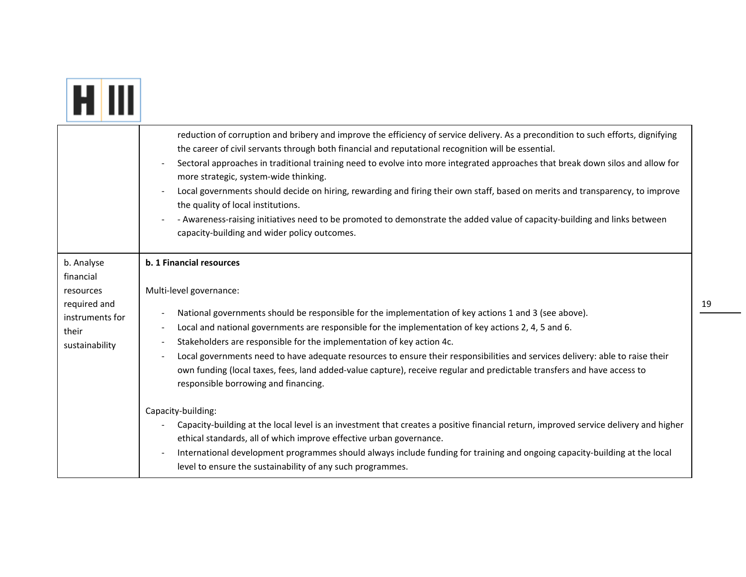|                                                                                                    | reduction of corruption and bribery and improve the efficiency of service delivery. As a precondition to such efforts, dignifying<br>the career of civil servants through both financial and reputational recognition will be essential.<br>Sectoral approaches in traditional training need to evolve into more integrated approaches that break down silos and allow for<br>more strategic, system-wide thinking.<br>Local governments should decide on hiring, rewarding and firing their own staff, based on merits and transparency, to improve<br>the quality of local institutions.<br>- Awareness-raising initiatives need to be promoted to demonstrate the added value of capacity-building and links between<br>capacity-building and wider policy outcomes. |
|----------------------------------------------------------------------------------------------------|-------------------------------------------------------------------------------------------------------------------------------------------------------------------------------------------------------------------------------------------------------------------------------------------------------------------------------------------------------------------------------------------------------------------------------------------------------------------------------------------------------------------------------------------------------------------------------------------------------------------------------------------------------------------------------------------------------------------------------------------------------------------------|
| b. Analyse<br>financial<br>resources<br>required and<br>instruments for<br>their<br>sustainability | b. 1 Financial resources<br>Multi-level governance:<br>National governments should be responsible for the implementation of key actions 1 and 3 (see above).<br>$\overline{a}$<br>Local and national governments are responsible for the implementation of key actions 2, 4, 5 and 6.<br>$\overline{a}$<br>Stakeholders are responsible for the implementation of key action 4c.<br>$\overline{\phantom{a}}$<br>Local governments need to have adequate resources to ensure their responsibilities and services delivery: able to raise their<br>$\overline{a}$<br>own funding (local taxes, fees, land added-value capture), receive regular and predictable transfers and have access to<br>responsible borrowing and financing.                                      |
|                                                                                                    | Capacity-building:<br>Capacity-building at the local level is an investment that creates a positive financial return, improved service delivery and higher<br>ethical standards, all of which improve effective urban governance.<br>International development programmes should always include funding for training and ongoing capacity-building at the local<br>level to ensure the sustainability of any such programmes.                                                                                                                                                                                                                                                                                                                                           |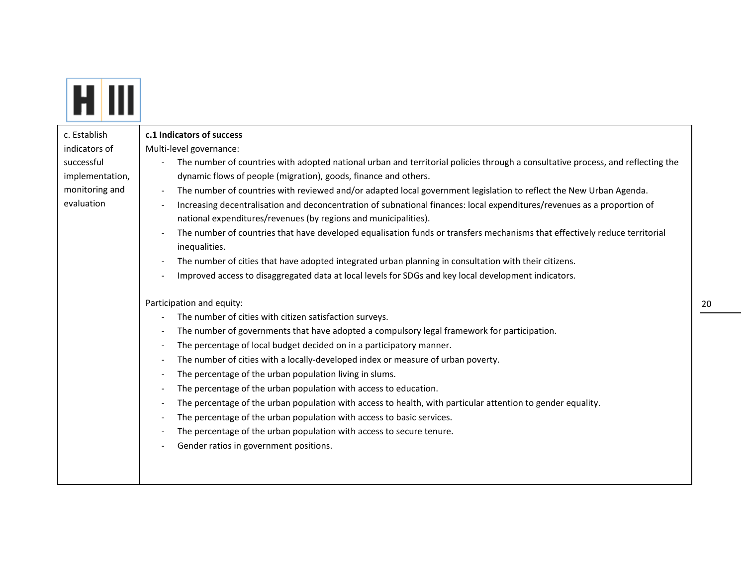| c. Establish<br>indicators of<br>successful<br>implementation,<br>monitoring and<br>evaluation | c.1 Indicators of success<br>Multi-level governance:<br>The number of countries with adopted national urban and territorial policies through a consultative process, and reflecting the<br>dynamic flows of people (migration), goods, finance and others.<br>The number of countries with reviewed and/or adapted local government legislation to reflect the New Urban Agenda.<br>Increasing decentralisation and deconcentration of subnational finances: local expenditures/revenues as a proportion of<br>national expenditures/revenues (by regions and municipalities).<br>The number of countries that have developed equalisation funds or transfers mechanisms that effectively reduce territorial<br>inequalities.<br>The number of cities that have adopted integrated urban planning in consultation with their citizens.<br>Improved access to disaggregated data at local levels for SDGs and key local development indicators.<br>Participation and equity:<br>The number of cities with citizen satisfaction surveys.<br>$\overline{\phantom{a}}$<br>The number of governments that have adopted a compulsory legal framework for participation.<br>The percentage of local budget decided on in a participatory manner.<br>$\overline{\phantom{a}}$<br>The number of cities with a locally-developed index or measure of urban poverty.<br>The percentage of the urban population living in slums.<br>The percentage of the urban population with access to education.<br>$\overline{\phantom{a}}$<br>The percentage of the urban population with access to health, with particular attention to gender equality.<br>The percentage of the urban population with access to basic services.<br>The percentage of the urban population with access to secure tenure. |
|------------------------------------------------------------------------------------------------|--------------------------------------------------------------------------------------------------------------------------------------------------------------------------------------------------------------------------------------------------------------------------------------------------------------------------------------------------------------------------------------------------------------------------------------------------------------------------------------------------------------------------------------------------------------------------------------------------------------------------------------------------------------------------------------------------------------------------------------------------------------------------------------------------------------------------------------------------------------------------------------------------------------------------------------------------------------------------------------------------------------------------------------------------------------------------------------------------------------------------------------------------------------------------------------------------------------------------------------------------------------------------------------------------------------------------------------------------------------------------------------------------------------------------------------------------------------------------------------------------------------------------------------------------------------------------------------------------------------------------------------------------------------------------------------------------------------------------------------------------------------------------------------|
|                                                                                                | Gender ratios in government positions.                                                                                                                                                                                                                                                                                                                                                                                                                                                                                                                                                                                                                                                                                                                                                                                                                                                                                                                                                                                                                                                                                                                                                                                                                                                                                                                                                                                                                                                                                                                                                                                                                                                                                                                                               |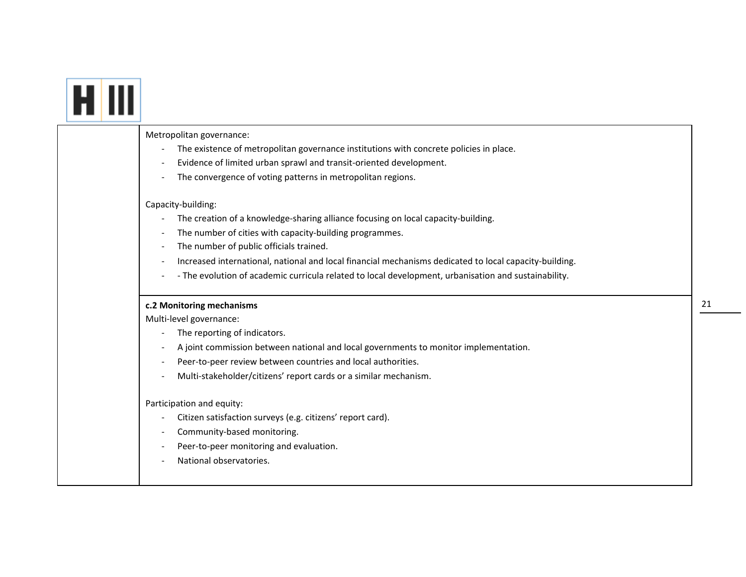| Metropolitan governance:                                                                               |
|--------------------------------------------------------------------------------------------------------|
| The existence of metropolitan governance institutions with concrete policies in place.                 |
| Evidence of limited urban sprawl and transit-oriented development.                                     |
| The convergence of voting patterns in metropolitan regions.                                            |
| Capacity-building:                                                                                     |
| The creation of a knowledge-sharing alliance focusing on local capacity-building.                      |
| The number of cities with capacity-building programmes.                                                |
| The number of public officials trained.                                                                |
| Increased international, national and local financial mechanisms dedicated to local capacity-building. |
| - The evolution of academic curricula related to local development, urbanisation and sustainability.   |
| c.2 Monitoring mechanisms                                                                              |
| Multi-level governance:                                                                                |
| The reporting of indicators.                                                                           |
| A joint commission between national and local governments to monitor implementation.                   |
| Peer-to-peer review between countries and local authorities.                                           |
| Multi-stakeholder/citizens' report cards or a similar mechanism.                                       |
| Participation and equity:                                                                              |
| Citizen satisfaction surveys (e.g. citizens' report card).                                             |
| Community-based monitoring.                                                                            |
| Peer-to-peer monitoring and evaluation.                                                                |
| National observatories.                                                                                |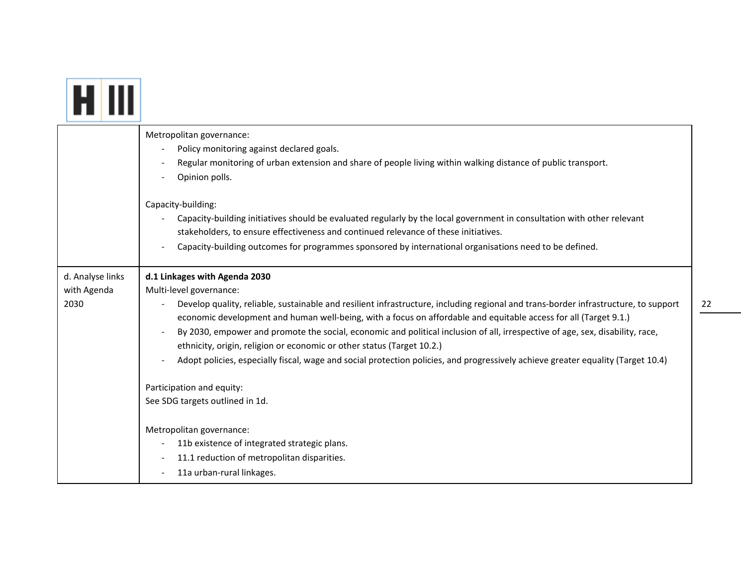|                                         | Metropolitan governance:<br>Policy monitoring against declared goals.<br>Regular monitoring of urban extension and share of people living within walking distance of public transport.<br>Opinion polls.<br>Capacity-building:<br>Capacity-building initiatives should be evaluated regularly by the local government in consultation with other relevant<br>stakeholders, to ensure effectiveness and continued relevance of these initiatives.<br>Capacity-building outcomes for programmes sponsored by international organisations need to be defined.                                                                                                                                                                         |
|-----------------------------------------|------------------------------------------------------------------------------------------------------------------------------------------------------------------------------------------------------------------------------------------------------------------------------------------------------------------------------------------------------------------------------------------------------------------------------------------------------------------------------------------------------------------------------------------------------------------------------------------------------------------------------------------------------------------------------------------------------------------------------------|
| d. Analyse links<br>with Agenda<br>2030 | d.1 Linkages with Agenda 2030<br>Multi-level governance:<br>Develop quality, reliable, sustainable and resilient infrastructure, including regional and trans-border infrastructure, to support<br>economic development and human well-being, with a focus on affordable and equitable access for all (Target 9.1.)<br>By 2030, empower and promote the social, economic and political inclusion of all, irrespective of age, sex, disability, race,<br>ethnicity, origin, religion or economic or other status (Target 10.2.)<br>Adopt policies, especially fiscal, wage and social protection policies, and progressively achieve greater equality (Target 10.4)<br>Participation and equity:<br>See SDG targets outlined in 1d. |
|                                         | Metropolitan governance:<br>11b existence of integrated strategic plans.<br>11.1 reduction of metropolitan disparities.<br>11a urban-rural linkages.                                                                                                                                                                                                                                                                                                                                                                                                                                                                                                                                                                               |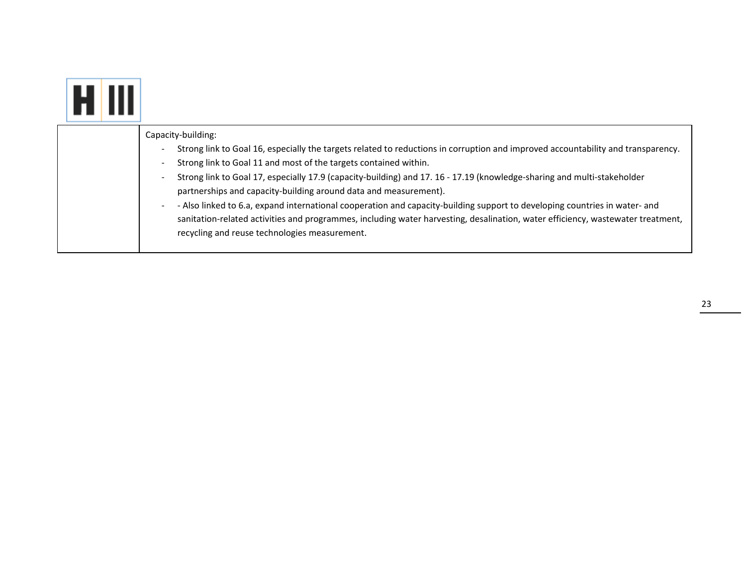| Capacity-building:<br>Strong link to Goal 16, especially the targets related to reductions in corruption and improved accountability and transparency.<br>Strong link to Goal 11 and most of the targets contained within.<br>-<br>Strong link to Goal 17, especially 17.9 (capacity-building) and 17. 16 - 17.19 (knowledge-sharing and multi-stakeholder<br>-<br>partnerships and capacity-building around data and measurement).<br>- Also linked to 6.a, expand international cooperation and capacity-building support to developing countries in water- and<br>sanitation-related activities and programmes, including water harvesting, desalination, water efficiency, wastewater treatment,<br>recycling and reuse technologies measurement. |
|-------------------------------------------------------------------------------------------------------------------------------------------------------------------------------------------------------------------------------------------------------------------------------------------------------------------------------------------------------------------------------------------------------------------------------------------------------------------------------------------------------------------------------------------------------------------------------------------------------------------------------------------------------------------------------------------------------------------------------------------------------|

23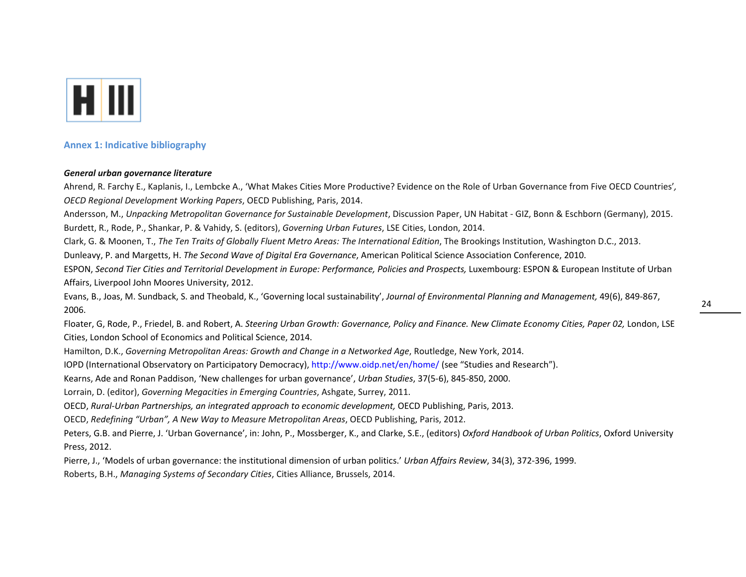

### **Annex 1: Indicative bibliography**

### *General urban governance literature*

Ahrend, R. Farchy E., Kaplanis, I., Lembcke A., 'What Makes Cities More Productive? Evidence on the Role of Urban Governance from Five OECD Countries'*, OECD Regional Development Working Papers*, OECD Publishing, Paris, 2014.

Andersson, M., *Unpacking Metropolitan Governance for Sustainable Development*, Discussion Paper, UN Habitat ‐ GIZ, Bonn & Eschborn (Germany), 2015. Burdett, R., Rode, P., Shankar, P. & Vahidy, S. (editors), *Governing Urban Futures*, LSE Cities, London, 2014.

Clark, G. & Moonen, T., *The Ten Traits of Globally Fluent Metro Areas: The International Edition*, The Brookings Institution, Washington D.C., 2013.

Dunleavy, P. and Margetts, H. *The Second Wave of Digital Era Governance*, American Political Science Association Conference, 2010.

ESPON, Second Tier Cities and Territorial Development in Europe: Performance, Policies and Prospects, Luxembourg: ESPON & European Institute of Urban Affairs, Liverpool John Moores University, 2012.

Evans, B., Joas, M. Sundback, S. and Theobald, K., 'Governing local sustainability', *Journal of Environmental Planning and Management,* 49(6), 849‐867, 2006.

Floater, G, Rode, P., Friedel, B. and Robert, A. Steering Urban Growth: Governance, Policy and Finance. New Climate Economy Cities, Paper 02, London, LSE Cities, London School of Economics and Political Science, 2014.

Hamilton, D.K., *Governing Metropolitan Areas: Growth and Change in <sup>a</sup> Networked Age*, Routledge, New York, 2014.

IOPD (International Observatory on Participatory Democracy), http://www.oidp.net/en/home/ (see "Studies and Research").

Kearns, Ade and Ronan Paddison, 'New challenges for urban governance', *Urban Studies*, 37(5‐6), 845‐850, 2000.

Lorrain, D. (editor), *Governing Megacities in Emerging Countries*, Ashgate, Surrey, 2011.

OECD, *Rural‐Urban Partnerships, an integrated approach to economic development,* OECD Publishing, Paris, 2013.

OECD, *Redefining "Urban", A New Way to Measure Metropolitan Areas*, OECD Publishing, Paris, 2012.

Peters, G.B. and Pierre, J. 'Urban Governance', in: John, P., Mossberger, K., and Clarke, S.E., (editors) *Oxford Handbook of Urban Politics*, Oxford University Press, 2012.

Pierre, J., 'Models of urban governance: the institutional dimension of urban politics.' *Urban Affairs Review*, 34(3), 372‐396, 1999.

Roberts, B.H., *Managing Systems of Secondary Cities*, Cities Alliance, Brussels, 2014.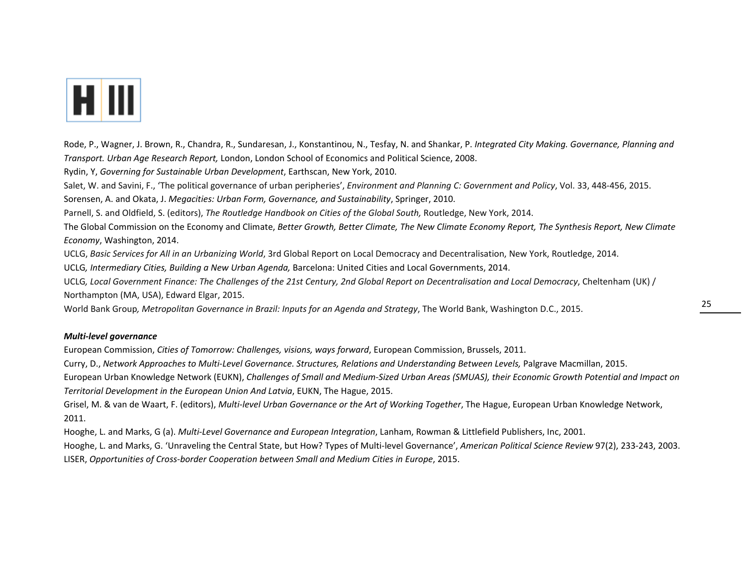

Rode, P., Wagner, J. Brown, R., Chandra, R., Sundaresan, J., Konstantinou, N., Tesfay, N. and Shankar, P. *Integrated City Making. Governance, Planning and Transport. Urban Age Research Report,* London, London School of Economics and Political Science, 2008.

Rydin, Y, *Governing for Sustainable Urban Development*, Earthscan, New York, 2010.

Salet, W. and Savini, F., 'The political governance of urban peripheries', *Environment and Planning C: Government and Policy*, Vol. 33, 448‐456, 2015.

Sorensen, A. and Okata, J. *Megacities: Urban Form, Governance, and Sustainability*, Springer, 2010.

Parnell, S. and Oldfield, S. (editors), *The Routledge Handbook on Cities of the Global South,* Routledge, New York, 2014.

The Global Commission on the Economy and Climate, Better Growth, Better Climate, The New Climate Economy Report, The Synthesis Report, New Climate *Economy*, Washington, 2014.

UCLG, *Basic Services for All in an Urbanizing World*, 3rd Global Report on Local Democracy and Decentralisation, New York, Routledge, 2014.

UCLG*, Intermediary Cities, Building <sup>a</sup> New Urban Agenda,* Barcelona: United Cities and Local Governments, 2014.

UCLG, Local Government Finance: The Challenges of the 21st Century, 2nd Global Report on Decentralisation and Local Democracy, Cheltenham (UK) / Northampton (MA, USA), Edward Elgar, 2015.

World Bank Group*, Metropolitan Governance in Brazil: Inputs for an Agenda and Strategy*, The World Bank, Washington D.C., 2015.

### *Multi‐level governance*

European Commission, *Cities of Tomorrow: Challenges, visions, ways forward*, European Commission, Brussels, 2011.

Curry, D., Network Approaches to Multi-Level Governance. Structures, Relations and Understanding Between Levels, Palgrave Macmillan, 2015.

European Urban Knowledge Network (EUKN), Challenges of Small and Medium-Sized Urban Areas (SMUAS), their Economic Growth Potential and Impact on *Territorial Development in the European Union And Latvia*, EUKN, The Hague, 2015.

Grisel, M. & van de Waart, F. (editors), *Multi‐level Urban Governance or the Art of Working Together*, The Hague, European Urban Knowledge Network, 2011.

Hooghe, L. and Marks, G (a). *Multi‐Level Governance and European Integration*, Lanham, Rowman & Littlefield Publishers, Inc, 2001.

Hooghe, L. and Marks, G. 'Unraveling the Central State, but How? Types of Multi‐level Governance', *American Political Science Review* 97(2), 233‐243, 2003. LISER, *Opportunities of Cross‐border Cooperation between Small and Medium Cities in Europe*, 2015.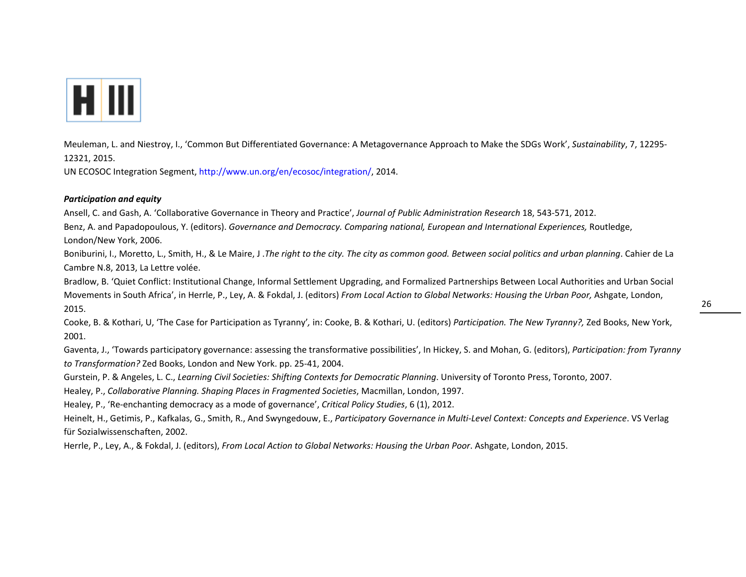

Meuleman, L. and Niestroy, I., 'Common But Differentiated Governance: A Metagovernance Approach to Make the SDGs Work', *Sustainability*, 7, 12295‐ 12321, 2015.

UN ECOSOC Integration Segment, http://www.un.org/en/ecosoc/integration/, 2014.

### *Participation and equity*

Ansell, C. and Gash, A. 'Collaborative Governance in Theory and Practice', *Journal of Public Administration Research* 18, 543‐571, 2012.

Benz, A. and Papadopoulous, Y. (editors). *Governance and Democracy. Comparing national, European and International Experiences,* Routledge, London/New York, 2006.

Boniburini, I., Moretto, L., Smith, H., & Le Maire, J. The right to the city. The city as common good. Between social politics and urban planning. Cahier de La Cambre N.8, 2013, La Lettre volée.

Bradlow, B. 'Quiet Conflict: Institutional Change, Informal Settlement Upgrading, and Formalized Partnerships Between Local Authorities and Urban Social Movements in South Africa', in Herrle, P., Ley, A. & Fokdal, J. (editors) *From Local Action to Global Networks: Housing the Urban Poor,* Ashgate, London, 2015.

Cooke, B. & Kothari, U, 'The Case for Participation as Tyranny'*,* in: Cooke, B. & Kothari, U. (editors) *Participation. The New Tyranny?,* Zed Books, New York, 2001.

Gaventa, J., 'Towards participatory governance: assessing the transformative possibilities', In Hickey, S. and Mohan, G. (editors), *Participation: from Tyranny to Transformation?* Zed Books, London and New York. pp. 25‐41, 2004.

Gurstein, P. & Angeles, L. C., *Learning Civil Societies: Shifting Contexts for Democratic Planning*. University of Toronto Press, Toronto, 2007.

Healey, P., *Collaborative Planning. Shaping Places in Fragmented Societies*, Macmillan, London, 1997.

Healey, P., 'Re‐enchanting democracy as <sup>a</sup> mode of governance', *Critical Policy Studies*, 6 (1), 2012.

Heinelt, H., Getimis, P., Kafkalas, G., Smith, R., And Swyngedouw, E., *Participatory Governance in Multi‐Level Context: Concepts and Experience*. VS Verlag für Sozialwissenschaften, 2002.

Herrle, P., Ley, A., & Fokdal, J. (editors), *From Local Action to Global Networks: Housing the Urban Poor*. Ashgate, London, 2015.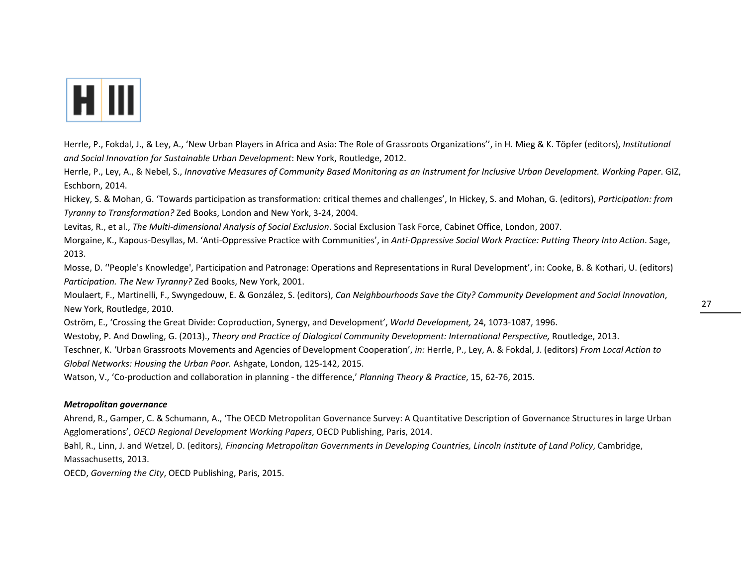

Herrle, P., Fokdal, J., & Ley, A., 'New Urban Players in Africa and Asia: The Role of Grassroots Organizations'', in H. Mieg & K. Töpfer (editors), *Institutional and Social Innovation for Sustainable Urban Development*: New York, Routledge, 2012.

Herrle, P., Ley, A., & Nebel, S., Innovative Measures of Community Based Monitoring as an Instrument for Inclusive Urban Development. Working Paper. GIZ, Eschborn, 2014.

Hickey, S. & Mohan, G. 'Towards participation as transformation: critical themes and challenges', In Hickey, S. and Mohan, G. (editors), *Participation: from Tyranny to Transformation?* Zed Books, London and New York, 3‐24, 2004.

Levitas, R., et al., *The Multi‐dimensional Analysis of Social Exclusion*. Social Exclusion Task Force, Cabinet Office, London, 2007.

Morgaine, K., Kapous‐Desyllas, M. 'Anti‐Oppressive Practice with Communities', in *Anti‐Oppressive Social Work Practice: Putting Theory Into Action*. Sage, 2013.

Mosse, D. ''People's Knowledge', Participation and Patronage: Operations and Representations in Rural Development', in: Cooke, B. & Kothari, U. (editors) *Participation. The New Tyranny?* Zed Books, New York, 2001.

Moulaert, F., Martinelli, F., Swyngedouw, E. & González, S. (editors), *Can Neighbourhoods Save the City? Community Development and Social Innovation*, New York, Routledge, 2010.

Oström, E., 'Crossing the Great Divide: Coproduction, Synergy, and Development', *World Development,* 24, 1073‐1087, 1996.

Westoby, P. And Dowling, G. (2013)., *Theory and Practice of Dialogical Community Development: International Perspective,* Routledge, 2013.

Teschner, K. 'Urban Grassroots Movements and Agencies of Development Cooperation', *in:* Herrle, P., Ley, A. & Fokdal, J. (editors) *From Local Action to Global Networks: Housing the Urban Poor.* Ashgate, London, 125‐142, 2015.

Watson, V., 'Co‐production and collaboration in planning ‐ the difference,' *Planning Theory & Practice*, 15, 62‐76, 2015.

### *Metropolitan governance*

Ahrend, R., Gamper, C. & Schumann, A., 'The OECD Metropolitan Governance Survey: A Quantitative Description of Governance Structures in large Urban Agglomerations', *OECD Regional Development Working Papers*, OECD Publishing, Paris, 2014.

Bahl, R., Linn, J. and Wetzel, D. (editors), Financing Metropolitan Governments in Developing Countries, Lincoln Institute of Land Policy, Cambridge, Massachusetts, 2013.

OECD, *Governing the City*, OECD Publishing, Paris, 2015.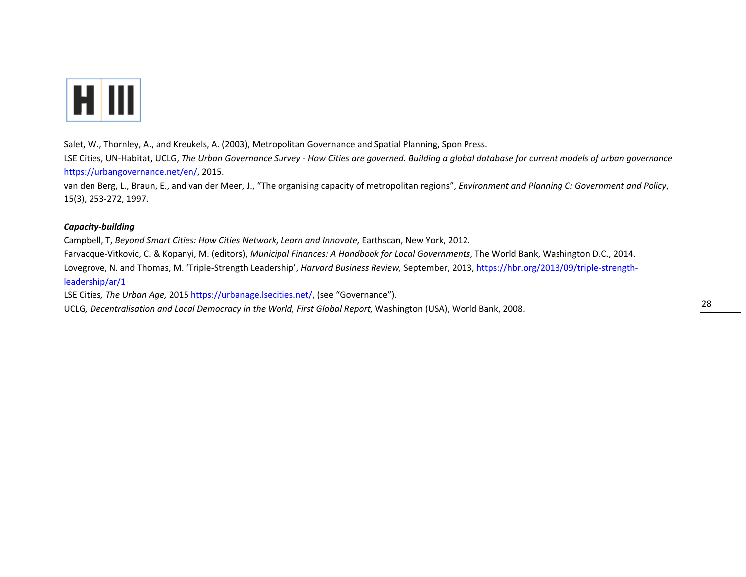

Salet, W., Thornley, A., and Kreukels, A. (2003), Metropolitan Governance and Spatial Planning, Spon Press.

LSE Cities, UN-Habitat, UCLG, The Urban Governance Survey - How Cities are governed. Building a global database for current models of urban governance https://urbangovernance.net/en/, 2015.

van den Berg, L., Braun, E., and van der Meer, J., "The organising capacity of metropolitan regions", *Environment and Planning C: Government and Policy*, 15(3), 253‐272, 1997.

### *Capacity‐building*

Campbell, T, *Beyond Smart Cities: How Cities Network, Learn and Innovate,* Earthscan, New York, 2012.

Farvacque‐Vitkovic, C. & Kopanyi, M. (editors), *Municipal Finances: A Handbook for Local Governments*, The World Bank, Washington D.C., 2014. Lovegrove, N. and Thomas, M. 'Triple‐Strength Leadership', *Harvard Business Review,* September, 2013, https://hbr.org/2013/09/triple‐strength‐ leadership/ar/1

LSE Cities*, The Urban Age,* 2015 https://urbanage.lsecities.net/, (see "Governance").

UCLG*, Decentralisation and Local Democracy in the World, First Global Report,* Washington (USA), World Bank, 2008.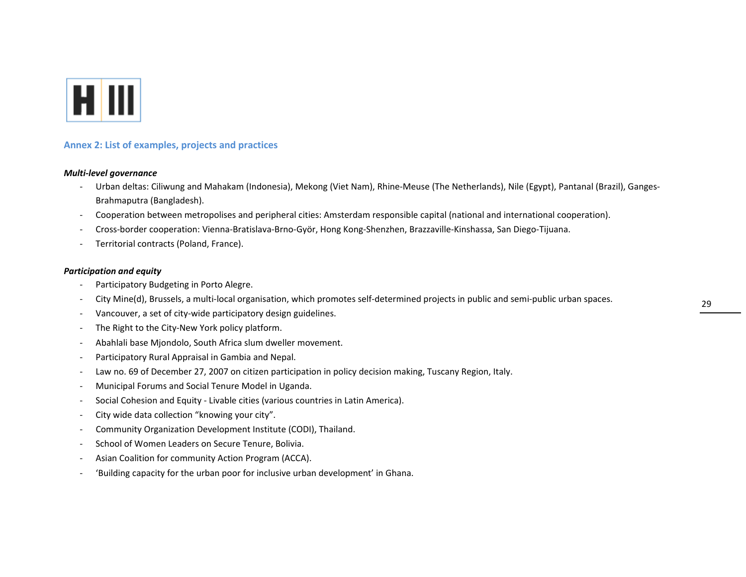

### **Annex 2: List of examples, projects and practices**

### *Multi‐level governance*

- ‐ Urban deltas: Ciliwung and Mahakam (Indonesia), Mekong (Viet Nam), Rhine‐Meuse (The Netherlands), Nile (Egypt), Pantanal (Brazil), Ganges‐ Brahmaputra (Bangladesh).
- Cooperation between metropolises and peripheral cities: Amsterdam responsible capital (national and international cooperation).
- ‐Cross‐border cooperation: Vienna‐Bratislava‐Brno‐Györ, Hong Kong‐Shenzhen, Brazzaville‐Kinshassa, San Diego‐Tijuana.
- ‐Territorial contracts (Poland, France).

### *Participation and equity*

- Participatory Budgeting in Porto Alegre.
- ‐City Mine(d), Brussels, <sup>a</sup> multi‐local organisation, which promotes self‐determined projects in public and semi‐public urban spaces.
- Vancouver, <sup>a</sup> set of city‐wide participatory design guidelines.
- ‐The Right to the City‐New York policy platform.
- Abahlali base Mjondolo, South Africa slum dweller movement.
- ‐Participatory Rural Appraisal in Gambia and Nepal.
- Law no. 69 of December 27, 2007 on citizen participation in policy decision making, Tuscany Region, Italy.
- ‐Municipal Forums and Social Tenure Model in Uganda.
- Social Cohesion and Equity ‐ Livable cities (various countries in Latin America).
- ‐City wide data collection "knowing your city".
- Community Organization Development Institute (CODI), Thailand.
- ‐- School of Women Leaders on Secure Tenure, Bolivia.
- ‐Asian Coalition for community Action Program (ACCA).
- ‐'Building capacity for the urban poor for inclusive urban development' in Ghana.